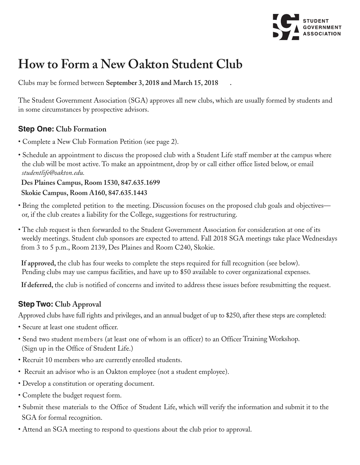

## **How to Form a New Oakton Student Club**

Clubs may be formed between **September 3, 2018 and March 15, 2018 .**

The Student Government Association (SGA) approves all new clubs, which are usually formed by students and in some circumstances by prospective advisors.

## **Step One: Club Formation**

- Complete a New Club Formation Petition (see page 2).
- Schedule an appointment to discuss the proposed club with a Student Life staff member at the campus where the club will be most active. To make an appointment, drop by or call either office listed below, or email *studentlife@oakton.edu.*

**Des Plaines Campus, Room 1530, 847.635.1699 Skokie Campus, Room A160, 847.635.1443**

- Bring the completed petition to the meeting. Discussion focuses on the proposed club goals and objectives or, if the club creates a liability for the College, suggestions for restructuring.
- The club request is then forwarded to the Student Government Association for consideration at one of its weekly meetings. Student club sponsors are expected to attend. Fall 2018 SGA meetings take place Wednesdays from 3 to 5 p.m., Room 2139, Des Plaines and Room C240, Skokie.

**If approved,** the club has four weeks to complete the steps required for full recognition (see below). Pending clubs may use campus facilities, and have up to \$50 available to cover organizational expenses.

**If deferred,** the club is notified of concerns and invited to address these issues before resubmitting the request.

## **Step Two: Club Approval**

Approved clubs have full rights and privileges, and an annual budget of up to \$250, after these steps are completed:

- Secure at least one student officer.
- Send two student members (at least one of whom is an officer) to an Officer Training Workshop. (Sign up in the Office of Student Life.)
- Recruit 10 members who are currently enrolled students.
- Recruit an advisor who is an Oakton employee (not a student employee).
- Develop a constitution or operating document.
- Complete the budget request form.
- Submit these materials to the Office of Student Life, which will verify the information and submit it to the SGA for formal recognition.
- Attend an SGA meeting to respond to questions about the club prior to approval.